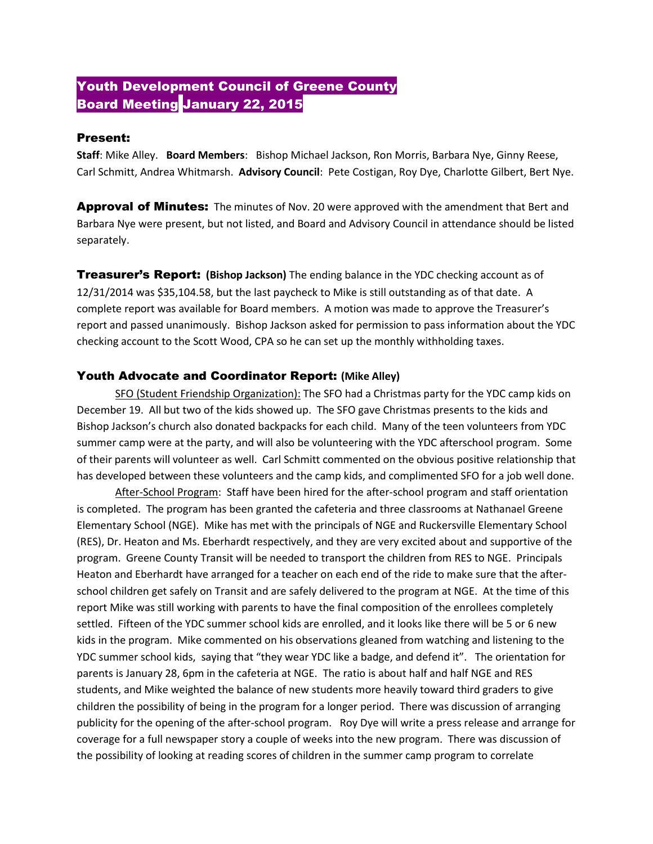## Youth Development Council of Greene County **Board Meeting January 22, 2015**

## Present:

**Staff**: Mike Alley. **Board Members**: Bishop Michael Jackson, Ron Morris, Barbara Nye, Ginny Reese, Carl Schmitt, Andrea Whitmarsh. **Advisory Council**: Pete Costigan, Roy Dye, Charlotte Gilbert, Bert Nye.

**Approval of Minutes:** The minutes of Nov. 20 were approved with the amendment that Bert and Barbara Nye were present, but not listed, and Board and Advisory Council in attendance should be listed separately.

Treasurer's Report: **(Bishop Jackson)** The ending balance in the YDC checking account as of 12/31/2014 was \$35,104.58, but the last paycheck to Mike is still outstanding as of that date. A complete report was available for Board members. A motion was made to approve the Treasurer's report and passed unanimously. Bishop Jackson asked for permission to pass information about the YDC checking account to the Scott Wood, CPA so he can set up the monthly withholding taxes.

## Youth Advocate and Coordinator Report: **(Mike Alley)**

SFO (Student Friendship Organization): The SFO had a Christmas party for the YDC camp kids on December 19. All but two of the kids showed up. The SFO gave Christmas presents to the kids and Bishop Jackson's church also donated backpacks for each child. Many of the teen volunteers from YDC summer camp were at the party, and will also be volunteering with the YDC afterschool program. Some of their parents will volunteer as well. Carl Schmitt commented on the obvious positive relationship that has developed between these volunteers and the camp kids, and complimented SFO for a job well done.

After-School Program: Staff have been hired for the after-school program and staff orientation is completed. The program has been granted the cafeteria and three classrooms at Nathanael Greene Elementary School (NGE). Mike has met with the principals of NGE and Ruckersville Elementary School (RES), Dr. Heaton and Ms. Eberhardt respectively, and they are very excited about and supportive of the program. Greene County Transit will be needed to transport the children from RES to NGE. Principals Heaton and Eberhardt have arranged for a teacher on each end of the ride to make sure that the afterschool children get safely on Transit and are safely delivered to the program at NGE. At the time of this report Mike was still working with parents to have the final composition of the enrollees completely settled. Fifteen of the YDC summer school kids are enrolled, and it looks like there will be 5 or 6 new kids in the program. Mike commented on his observations gleaned from watching and listening to the YDC summer school kids, saying that "they wear YDC like a badge, and defend it". The orientation for parents is January 28, 6pm in the cafeteria at NGE. The ratio is about half and half NGE and RES students, and Mike weighted the balance of new students more heavily toward third graders to give children the possibility of being in the program for a longer period. There was discussion of arranging publicity for the opening of the after-school program. Roy Dye will write a press release and arrange for coverage for a full newspaper story a couple of weeks into the new program. There was discussion of the possibility of looking at reading scores of children in the summer camp program to correlate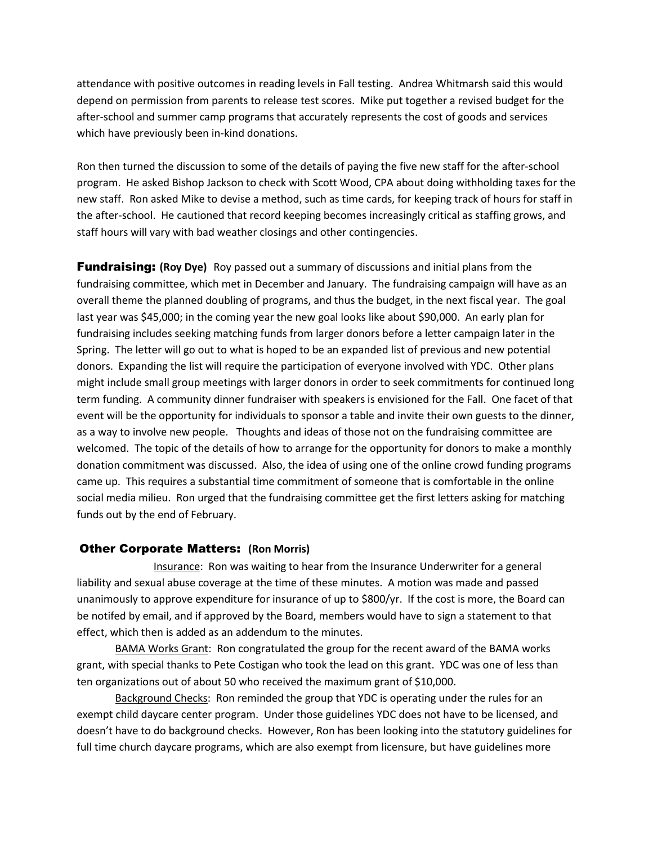attendance with positive outcomes in reading levels in Fall testing. Andrea Whitmarsh said this would depend on permission from parents to release test scores. Mike put together a revised budget for the after-school and summer camp programs that accurately represents the cost of goods and services which have previously been in-kind donations.

Ron then turned the discussion to some of the details of paying the five new staff for the after-school program. He asked Bishop Jackson to check with Scott Wood, CPA about doing withholding taxes for the new staff. Ron asked Mike to devise a method, such as time cards, for keeping track of hours for staff in the after-school. He cautioned that record keeping becomes increasingly critical as staffing grows, and staff hours will vary with bad weather closings and other contingencies.

Fundraising: **(Roy Dye)** Roy passed out a summary of discussions and initial plans from the fundraising committee, which met in December and January. The fundraising campaign will have as an overall theme the planned doubling of programs, and thus the budget, in the next fiscal year. The goal last year was \$45,000; in the coming year the new goal looks like about \$90,000. An early plan for fundraising includes seeking matching funds from larger donors before a letter campaign later in the Spring. The letter will go out to what is hoped to be an expanded list of previous and new potential donors. Expanding the list will require the participation of everyone involved with YDC. Other plans might include small group meetings with larger donors in order to seek commitments for continued long term funding. A community dinner fundraiser with speakers is envisioned for the Fall. One facet of that event will be the opportunity for individuals to sponsor a table and invite their own guests to the dinner, as a way to involve new people. Thoughts and ideas of those not on the fundraising committee are welcomed. The topic of the details of how to arrange for the opportunity for donors to make a monthly donation commitment was discussed. Also, the idea of using one of the online crowd funding programs came up. This requires a substantial time commitment of someone that is comfortable in the online social media milieu. Ron urged that the fundraising committee get the first letters asking for matching funds out by the end of February.

## Other Corporate Matters: **(Ron Morris)**

Insurance: Ron was waiting to hear from the Insurance Underwriter for a general liability and sexual abuse coverage at the time of these minutes. A motion was made and passed unanimously to approve expenditure for insurance of up to \$800/yr. If the cost is more, the Board can be notifed by email, and if approved by the Board, members would have to sign a statement to that effect, which then is added as an addendum to the minutes.

BAMA Works Grant: Ron congratulated the group for the recent award of the BAMA works grant, with special thanks to Pete Costigan who took the lead on this grant. YDC was one of less than ten organizations out of about 50 who received the maximum grant of \$10,000.

Background Checks: Ron reminded the group that YDC is operating under the rules for an exempt child daycare center program. Under those guidelines YDC does not have to be licensed, and doesn't have to do background checks. However, Ron has been looking into the statutory guidelines for full time church daycare programs, which are also exempt from licensure, but have guidelines more